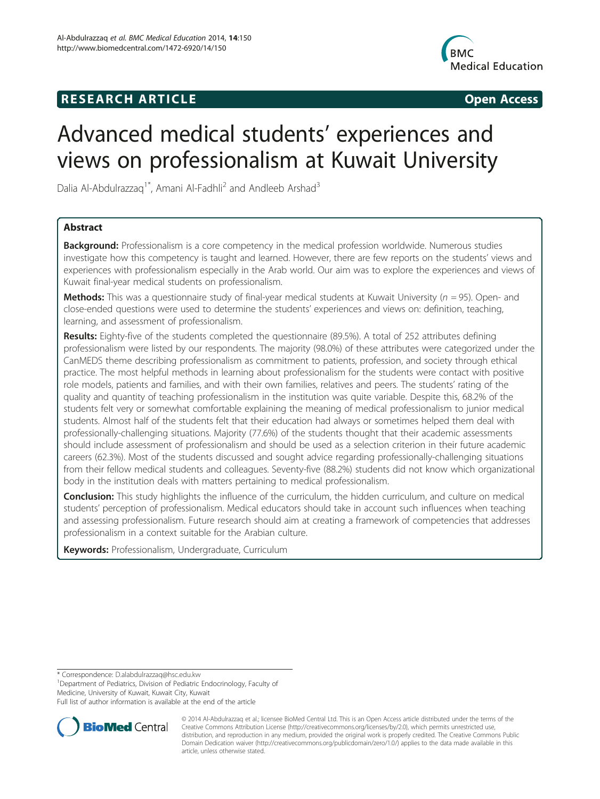# **RESEARCH ARTICLE CONSUMING A RESEARCH ARTICLE**



# Advanced medical students' experiences and views on professionalism at Kuwait University

Dalia Al-Abdulrazzaq<sup>1\*</sup>, Amani Al-Fadhli<sup>2</sup> and Andleeb Arshad<sup>3</sup>

# Abstract

**Background:** Professionalism is a core competency in the medical profession worldwide. Numerous studies investigate how this competency is taught and learned. However, there are few reports on the students' views and experiences with professionalism especially in the Arab world. Our aim was to explore the experiences and views of Kuwait final-year medical students on professionalism.

**Methods:** This was a questionnaire study of final-year medical students at Kuwait University ( $n = 95$ ). Open- and close-ended questions were used to determine the students' experiences and views on: definition, teaching, learning, and assessment of professionalism.

Results: Eighty-five of the students completed the questionnaire (89.5%). A total of 252 attributes defining professionalism were listed by our respondents. The majority (98.0%) of these attributes were categorized under the CanMEDS theme describing professionalism as commitment to patients, profession, and society through ethical practice. The most helpful methods in learning about professionalism for the students were contact with positive role models, patients and families, and with their own families, relatives and peers. The students' rating of the quality and quantity of teaching professionalism in the institution was quite variable. Despite this, 68.2% of the students felt very or somewhat comfortable explaining the meaning of medical professionalism to junior medical students. Almost half of the students felt that their education had always or sometimes helped them deal with professionally-challenging situations. Majority (77.6%) of the students thought that their academic assessments should include assessment of professionalism and should be used as a selection criterion in their future academic careers (62.3%). Most of the students discussed and sought advice regarding professionally-challenging situations from their fellow medical students and colleagues. Seventy-five (88.2%) students did not know which organizational body in the institution deals with matters pertaining to medical professionalism.

Conclusion: This study highlights the influence of the curriculum, the hidden curriculum, and culture on medical students' perception of professionalism. Medical educators should take in account such influences when teaching and assessing professionalism. Future research should aim at creating a framework of competencies that addresses professionalism in a context suitable for the Arabian culture.

Keywords: Professionalism, Undergraduate, Curriculum

\* Correspondence: [D.alabdulrazzaq@hsc.edu.kw](mailto:D.alabdulrazzaq@hsc.edu.kw) <sup>1</sup>

<sup>1</sup>Department of Pediatrics, Division of Pediatric Endocrinology, Faculty of Medicine, University of Kuwait, Kuwait City, Kuwait

Full list of author information is available at the end of the article



© 2014 Al-Abdulrazzaq et al.; licensee BioMed Central Ltd. This is an Open Access article distributed under the terms of the Creative Commons Attribution License (<http://creativecommons.org/licenses/by/2.0>), which permits unrestricted use, distribution, and reproduction in any medium, provided the original work is properly credited. The Creative Commons Public Domain Dedication waiver [\(http://creativecommons.org/publicdomain/zero/1.0/\)](http://creativecommons.org/publicdomain/zero/1.0/) applies to the data made available in this article, unless otherwise stated.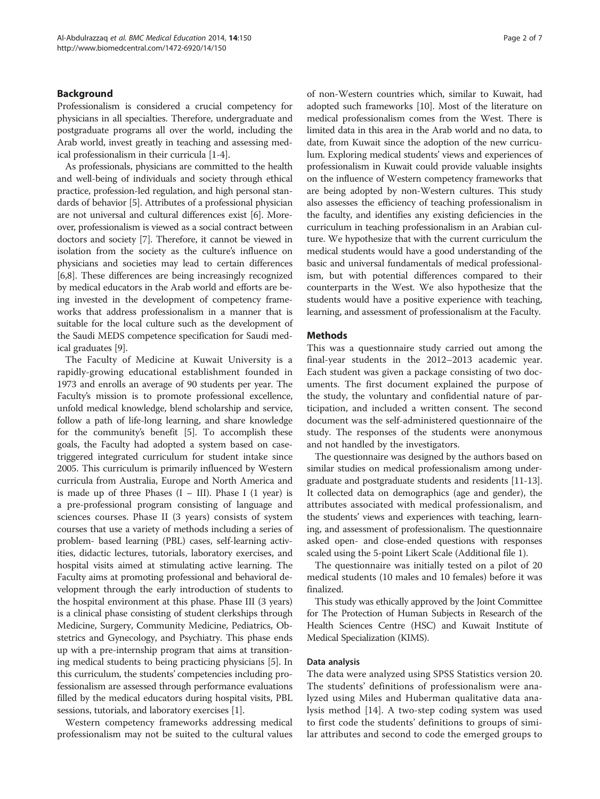### Background

Professionalism is considered a crucial competency for physicians in all specialties. Therefore, undergraduate and postgraduate programs all over the world, including the Arab world, invest greatly in teaching and assessing medical professionalism in their curricula [\[1-4](#page-6-0)].

As professionals, physicians are committed to the health and well-being of individuals and society through ethical practice, profession-led regulation, and high personal standards of behavior [\[5](#page-6-0)]. Attributes of a professional physician are not universal and cultural differences exist [[6](#page-6-0)]. Moreover, professionalism is viewed as a social contract between doctors and society [\[7](#page-6-0)]. Therefore, it cannot be viewed in isolation from the society as the culture's influence on physicians and societies may lead to certain differences [[6,8](#page-6-0)]. These differences are being increasingly recognized by medical educators in the Arab world and efforts are being invested in the development of competency frameworks that address professionalism in a manner that is suitable for the local culture such as the development of the Saudi MEDS competence specification for Saudi medical graduates [[9\]](#page-6-0).

The Faculty of Medicine at Kuwait University is a rapidly-growing educational establishment founded in 1973 and enrolls an average of 90 students per year. The Faculty's mission is to promote professional excellence, unfold medical knowledge, blend scholarship and service, follow a path of life-long learning, and share knowledge for the community's benefit [[5](#page-6-0)]. To accomplish these goals, the Faculty had adopted a system based on casetriggered integrated curriculum for student intake since 2005. This curriculum is primarily influenced by Western curricula from Australia, Europe and North America and is made up of three Phases  $(I - III)$ . Phase I  $(1$  year) is a pre-professional program consisting of language and sciences courses. Phase II (3 years) consists of system courses that use a variety of methods including a series of problem- based learning (PBL) cases, self-learning activities, didactic lectures, tutorials, laboratory exercises, and hospital visits aimed at stimulating active learning. The Faculty aims at promoting professional and behavioral development through the early introduction of students to the hospital environment at this phase. Phase III (3 years) is a clinical phase consisting of student clerkships through Medicine, Surgery, Community Medicine, Pediatrics, Obstetrics and Gynecology, and Psychiatry. This phase ends up with a pre-internship program that aims at transitioning medical students to being practicing physicians [[5\]](#page-6-0). In this curriculum, the students' competencies including professionalism are assessed through performance evaluations filled by the medical educators during hospital visits, PBL sessions, tutorials, and laboratory exercises [[1\]](#page-6-0).

Western competency frameworks addressing medical professionalism may not be suited to the cultural values of non-Western countries which, similar to Kuwait, had adopted such frameworks [[10](#page-6-0)]. Most of the literature on medical professionalism comes from the West. There is limited data in this area in the Arab world and no data, to date, from Kuwait since the adoption of the new curriculum. Exploring medical students' views and experiences of professionalism in Kuwait could provide valuable insights on the influence of Western competency frameworks that are being adopted by non-Western cultures. This study also assesses the efficiency of teaching professionalism in the faculty, and identifies any existing deficiencies in the curriculum in teaching professionalism in an Arabian culture. We hypothesize that with the current curriculum the medical students would have a good understanding of the basic and universal fundamentals of medical professionalism, but with potential differences compared to their counterparts in the West. We also hypothesize that the students would have a positive experience with teaching, learning, and assessment of professionalism at the Faculty.

#### Methods

This was a questionnaire study carried out among the final-year students in the 2012–2013 academic year. Each student was given a package consisting of two documents. The first document explained the purpose of the study, the voluntary and confidential nature of participation, and included a written consent. The second document was the self-administered questionnaire of the study. The responses of the students were anonymous and not handled by the investigators.

The questionnaire was designed by the authors based on similar studies on medical professionalism among undergraduate and postgraduate students and residents [[11](#page-6-0)-[13](#page-6-0)]. It collected data on demographics (age and gender), the attributes associated with medical professionalism, and the students' views and experiences with teaching, learning, and assessment of professionalism. The questionnaire asked open- and close-ended questions with responses scaled using the 5-point Likert Scale (Additional file [1](#page-6-0)).

The questionnaire was initially tested on a pilot of 20 medical students (10 males and 10 females) before it was finalized.

This study was ethically approved by the Joint Committee for The Protection of Human Subjects in Research of the Health Sciences Centre (HSC) and Kuwait Institute of Medical Specialization (KIMS).

#### Data analysis

The data were analyzed using SPSS Statistics version 20. The students' definitions of professionalism were analyzed using Miles and Huberman qualitative data analysis method [\[14](#page-6-0)]. A two-step coding system was used to first code the students' definitions to groups of similar attributes and second to code the emerged groups to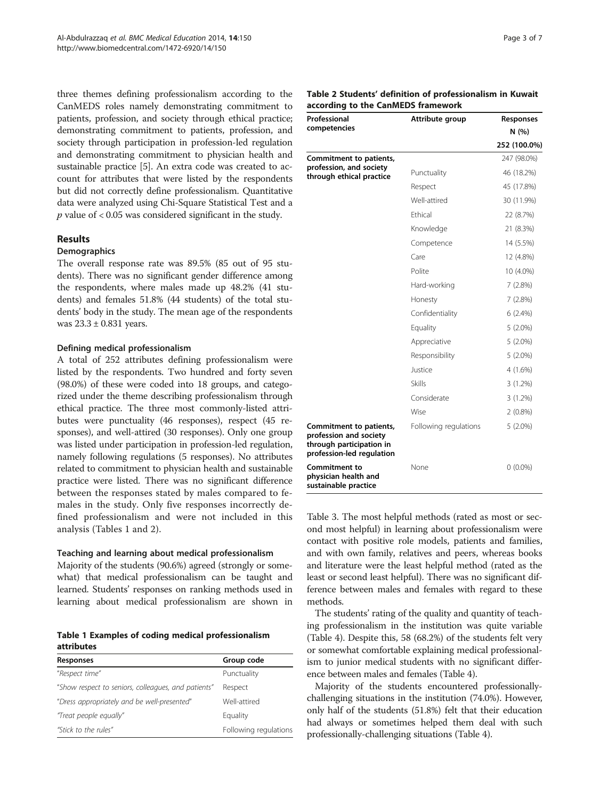<span id="page-2-0"></span>three themes defining professionalism according to the CanMEDS roles namely demonstrating commitment to patients, profession, and society through ethical practice; demonstrating commitment to patients, profession, and society through participation in profession-led regulation and demonstrating commitment to physician health and sustainable practice [[5\]](#page-6-0). An extra code was created to account for attributes that were listed by the respondents but did not correctly define professionalism. Quantitative data were analyzed using Chi-Square Statistical Test and a  $p$  value of  $< 0.05$  was considered significant in the study.

# Results

# **Demographics**

The overall response rate was 89.5% (85 out of 95 students). There was no significant gender difference among the respondents, where males made up 48.2% (41 students) and females 51.8% (44 students) of the total students' body in the study. The mean age of the respondents was 23.3 ± 0.831 years.

#### Defining medical professionalism

A total of 252 attributes defining professionalism were listed by the respondents. Two hundred and forty seven (98.0%) of these were coded into 18 groups, and categorized under the theme describing professionalism through ethical practice. The three most commonly-listed attributes were punctuality (46 responses), respect (45 responses), and well-attired (30 responses). Only one group was listed under participation in profession-led regulation, namely following regulations (5 responses). No attributes related to commitment to physician health and sustainable practice were listed. There was no significant difference between the responses stated by males compared to females in the study. Only five responses incorrectly defined professionalism and were not included in this analysis (Tables 1 and 2).

#### Teaching and learning about medical professionalism

Majority of the students (90.6%) agreed (strongly or somewhat) that medical professionalism can be taught and learned. Students' responses on ranking methods used in learning about medical professionalism are shown in

Table 1 Examples of coding medical professionalism attributes

| Responses                                           | Group code            |
|-----------------------------------------------------|-----------------------|
| "Respect time"                                      | Punctuality           |
| "Show respect to seniors, colleagues, and patients" | Respect               |
| "Dress appropriately and be well-presented"         | Well-attired          |
| "Treat people equally"                              | Equality              |
| "Stick to the rules"                                | Following regulations |

| Table 2 Students' definition of professionalism in Kuwait |  |  |
|-----------------------------------------------------------|--|--|
| according to the CanMEDS framework                        |  |  |

| Professional                                                                                               | Attribute group       | Responses    |  |
|------------------------------------------------------------------------------------------------------------|-----------------------|--------------|--|
| competencies                                                                                               |                       | N (%)        |  |
|                                                                                                            |                       | 252 (100.0%) |  |
| Commitment to patients,                                                                                    |                       | 247 (98.0%)  |  |
| profession, and society<br>through ethical practice                                                        | Punctuality           | 46 (18.2%)   |  |
|                                                                                                            | Respect               | 45 (17.8%)   |  |
|                                                                                                            | Well-attired          | 30 (11.9%)   |  |
|                                                                                                            | <b>Fthical</b>        | 22 (8.7%)    |  |
|                                                                                                            | Knowledge             | 21 (8.3%)    |  |
|                                                                                                            | Competence            | 14 (5.5%)    |  |
|                                                                                                            | Care                  | 12 (4.8%)    |  |
|                                                                                                            | Polite                | 10 (4.0%)    |  |
|                                                                                                            | Hard-working          | 7(2.8%)      |  |
|                                                                                                            | Honesty               | 7(2.8%)      |  |
|                                                                                                            | Confidentiality       | 6(2.4%)      |  |
|                                                                                                            | Equality              | $5(2.0\%)$   |  |
|                                                                                                            | Appreciative          | $5(2.0\%)$   |  |
|                                                                                                            | Responsibility        | $5(2.0\%)$   |  |
|                                                                                                            | Justice               | $4(1.6\%)$   |  |
|                                                                                                            | Skills                | $3(1.2\%)$   |  |
|                                                                                                            | Considerate           | $3(1.2\%)$   |  |
|                                                                                                            | Wise                  | $2(0.8\%)$   |  |
| Commitment to patients,<br>profession and society<br>through participation in<br>profession-led regulation | Following regulations | $5(2.0\%)$   |  |
| <b>Commitment to</b><br>physician health and<br>sustainable practice                                       | None                  | $0(0.0\%)$   |  |

Table [3](#page-3-0). The most helpful methods (rated as most or second most helpful) in learning about professionalism were contact with positive role models, patients and families, and with own family, relatives and peers, whereas books and literature were the least helpful method (rated as the least or second least helpful). There was no significant difference between males and females with regard to these methods.

The students' rating of the quality and quantity of teaching professionalism in the institution was quite variable (Table [4](#page-3-0)). Despite this, 58 (68.2%) of the students felt very or somewhat comfortable explaining medical professionalism to junior medical students with no significant difference between males and females (Table [4\)](#page-3-0).

Majority of the students encountered professionallychallenging situations in the institution (74.0%). However, only half of the students (51.8%) felt that their education had always or sometimes helped them deal with such professionally-challenging situations (Table [4\)](#page-3-0).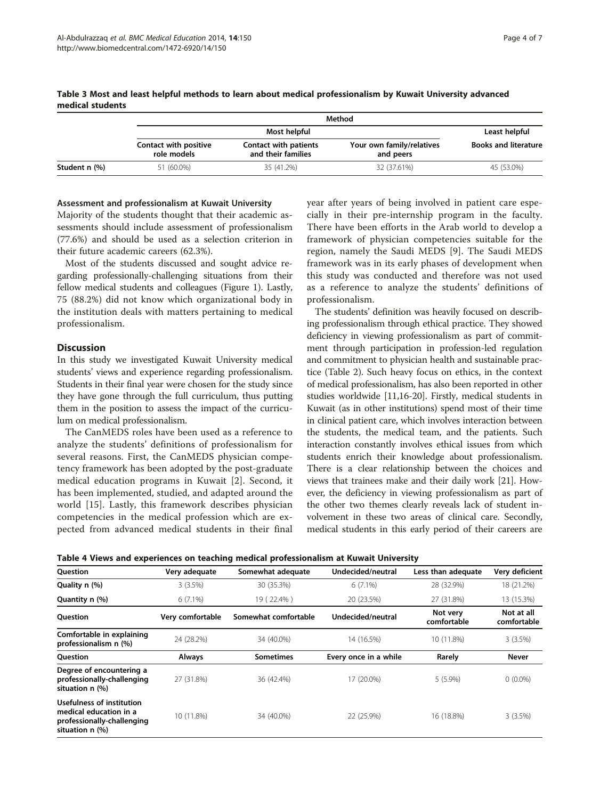|               | Most helpful                         |                                             |                                        | Least helpful               |  |
|---------------|--------------------------------------|---------------------------------------------|----------------------------------------|-----------------------------|--|
|               | Contact with positive<br>role models | Contact with patients<br>and their families | Your own family/relatives<br>and peers | <b>Books and literature</b> |  |
| Student n (%) | 51 (60.0%)                           | 35 (41.2%)                                  | 32 (37.61%)                            | 45 (53.0%)                  |  |

#### <span id="page-3-0"></span>Table 3 Most and least helpful methods to learn about medical professionalism by Kuwait University advanced medical students

## Assessment and professionalism at Kuwait University

Majority of the students thought that their academic assessments should include assessment of professionalism (77.6%) and should be used as a selection criterion in their future academic careers (62.3%).

Most of the students discussed and sought advice regarding professionally-challenging situations from their fellow medical students and colleagues (Figure [1](#page-4-0)). Lastly, 75 (88.2%) did not know which organizational body in the institution deals with matters pertaining to medical professionalism.

### **Discussion**

In this study we investigated Kuwait University medical students' views and experience regarding professionalism. Students in their final year were chosen for the study since they have gone through the full curriculum, thus putting them in the position to assess the impact of the curriculum on medical professionalism.

The CanMEDS roles have been used as a reference to analyze the students' definitions of professionalism for several reasons. First, the CanMEDS physician competency framework has been adopted by the post-graduate medical education programs in Kuwait [[2\]](#page-6-0). Second, it has been implemented, studied, and adapted around the world [\[15](#page-6-0)]. Lastly, this framework describes physician competencies in the medical profession which are expected from advanced medical students in their final year after years of being involved in patient care especially in their pre-internship program in the faculty. There have been efforts in the Arab world to develop a framework of physician competencies suitable for the region, namely the Saudi MEDS [[9\]](#page-6-0). The Saudi MEDS framework was in its early phases of development when this study was conducted and therefore was not used as a reference to analyze the students' definitions of professionalism.

The students' definition was heavily focused on describing professionalism through ethical practice. They showed deficiency in viewing professionalism as part of commitment through participation in profession-led regulation and commitment to physician health and sustainable practice (Table [2\)](#page-2-0). Such heavy focus on ethics, in the context of medical professionalism, has also been reported in other studies worldwide [[11,16-20\]](#page-6-0). Firstly, medical students in Kuwait (as in other institutions) spend most of their time in clinical patient care, which involves interaction between the students, the medical team, and the patients. Such interaction constantly involves ethical issues from which students enrich their knowledge about professionalism. There is a clear relationship between the choices and views that trainees make and their daily work [[21](#page-6-0)]. However, the deficiency in viewing professionalism as part of the other two themes clearly reveals lack of student involvement in these two areas of clinical care. Secondly, medical students in this early period of their careers are

| Table 4 Views and experiences on teaching medical professionalism at Kuwait University |  |  |  |
|----------------------------------------------------------------------------------------|--|--|--|
|                                                                                        |  |  |  |

| Question                                                                                                  | Very adequate    | Somewhat adequate    | Undecided/neutral     | Less than adequate      | <b>Very deficient</b>     |
|-----------------------------------------------------------------------------------------------------------|------------------|----------------------|-----------------------|-------------------------|---------------------------|
| Quality n (%)                                                                                             | 3(3.5%)          | 30 (35.3%)           | $6(7.1\%)$            | 28 (32.9%)              | 18 (21.2%)                |
| Quantity n (%)                                                                                            | $6(7.1\%)$       | 19 (22.4%)           | 20 (23.5%)            | 27 (31.8%)              | 13 (15.3%)                |
| <b>Ouestion</b>                                                                                           | Very comfortable | Somewhat comfortable | Undecided/neutral     | Not very<br>comfortable | Not at all<br>comfortable |
| Comfortable in explaining<br>professionalism n (%)                                                        | 24 (28.2%)       | 34 (40.0%)           | 14 (16.5%)            | 10 (11.8%)              | 3(3.5%)                   |
| <b>Ouestion</b>                                                                                           | <b>Always</b>    | <b>Sometimes</b>     | Every once in a while | Rarely                  | <b>Never</b>              |
| Degree of encountering a<br>professionally-challenging<br>situation n (%)                                 | 27 (31.8%)       | 36 (42.4%)           | 17 (20.0%)            | $5(5.9\%)$              | $0(0.0\%)$                |
| Usefulness of institution<br>medical education in a<br>professionally-challenging<br>situation $n$ $(\%)$ | 10 (11.8%)       | 34 (40.0%)           | 22 (25.9%)            | 16 (18.8%)              | 3(3.5%)                   |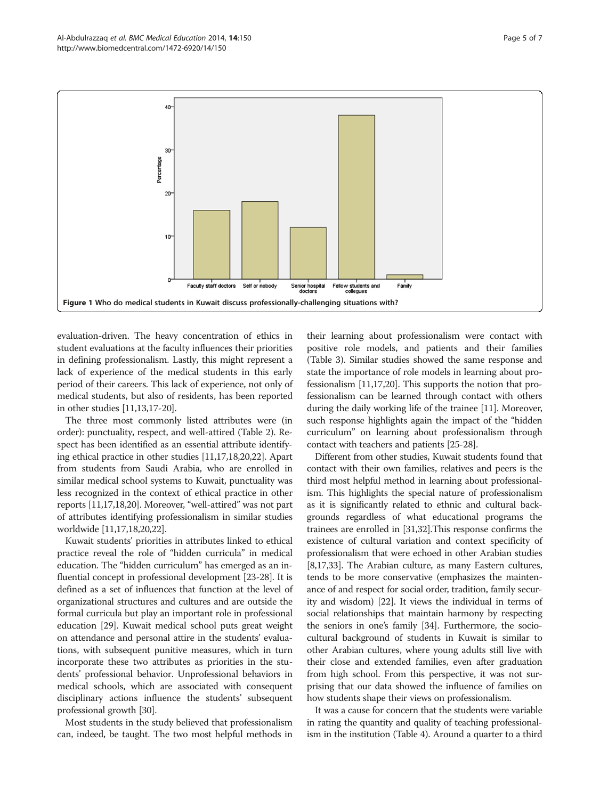<span id="page-4-0"></span>

evaluation-driven. The heavy concentration of ethics in student evaluations at the faculty influences their priorities in defining professionalism. Lastly, this might represent a lack of experience of the medical students in this early period of their careers. This lack of experience, not only of medical students, but also of residents, has been reported in other studies [\[11,13](#page-6-0),[17](#page-6-0)-[20](#page-6-0)].

The three most commonly listed attributes were (in order): punctuality, respect, and well-attired (Table [2\)](#page-2-0). Respect has been identified as an essential attribute identifying ethical practice in other studies [\[11,17,18,20,22\]](#page-6-0). Apart from students from Saudi Arabia, who are enrolled in similar medical school systems to Kuwait, punctuality was less recognized in the context of ethical practice in other reports [[11,17,18,20](#page-6-0)]. Moreover, "well-attired" was not part of attributes identifying professionalism in similar studies worldwide [\[11,17,18,20,22](#page-6-0)].

Kuwait students' priorities in attributes linked to ethical practice reveal the role of "hidden curricula" in medical education. The "hidden curriculum" has emerged as an influential concept in professional development [[23](#page-6-0)-[28](#page-6-0)]. It is defined as a set of influences that function at the level of organizational structures and cultures and are outside the formal curricula but play an important role in professional education [[29\]](#page-6-0). Kuwait medical school puts great weight on attendance and personal attire in the students' evaluations, with subsequent punitive measures, which in turn incorporate these two attributes as priorities in the students' professional behavior. Unprofessional behaviors in medical schools, which are associated with consequent disciplinary actions influence the students' subsequent professional growth [\[30\]](#page-6-0).

Most students in the study believed that professionalism can, indeed, be taught. The two most helpful methods in their learning about professionalism were contact with positive role models, and patients and their families (Table [3](#page-3-0)). Similar studies showed the same response and state the importance of role models in learning about professionalism [\[11,17,20\]](#page-6-0). This supports the notion that professionalism can be learned through contact with others during the daily working life of the trainee [\[11\]](#page-6-0). Moreover, such response highlights again the impact of the "hidden curriculum" on learning about professionalism through contact with teachers and patients [[25](#page-6-0)-[28](#page-6-0)].

Different from other studies, Kuwait students found that contact with their own families, relatives and peers is the third most helpful method in learning about professionalism. This highlights the special nature of professionalism as it is significantly related to ethnic and cultural backgrounds regardless of what educational programs the trainees are enrolled in [\[31,32](#page-6-0)].This response confirms the existence of cultural variation and context specificity of professionalism that were echoed in other Arabian studies [[8,17,33\]](#page-6-0). The Arabian culture, as many Eastern cultures, tends to be more conservative (emphasizes the maintenance of and respect for social order, tradition, family security and wisdom) [\[22\]](#page-6-0). It views the individual in terms of social relationships that maintain harmony by respecting the seniors in one's family [[34](#page-6-0)]. Furthermore, the sociocultural background of students in Kuwait is similar to other Arabian cultures, where young adults still live with their close and extended families, even after graduation from high school. From this perspective, it was not surprising that our data showed the influence of families on how students shape their views on professionalism.

It was a cause for concern that the students were variable in rating the quantity and quality of teaching professionalism in the institution (Table [4](#page-3-0)). Around a quarter to a third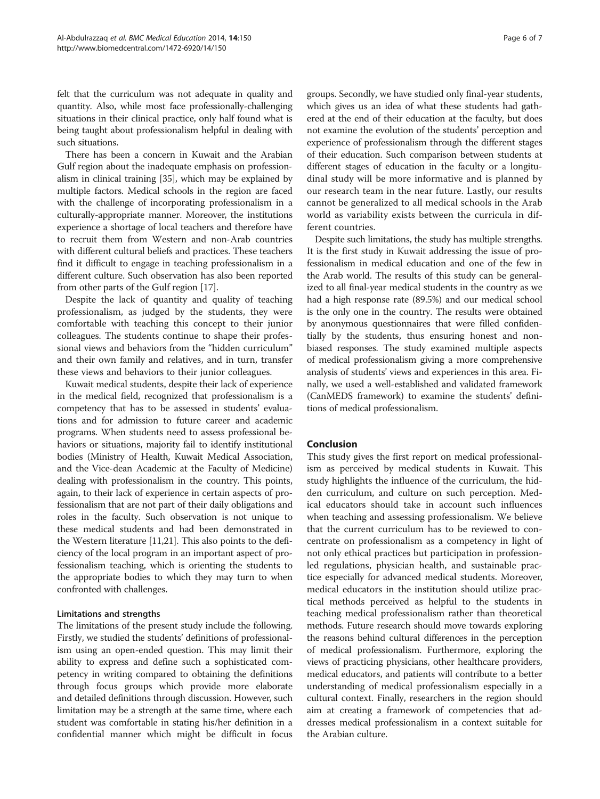felt that the curriculum was not adequate in quality and quantity. Also, while most face professionally-challenging situations in their clinical practice, only half found what is being taught about professionalism helpful in dealing with such situations.

There has been a concern in Kuwait and the Arabian Gulf region about the inadequate emphasis on professionalism in clinical training [\[35](#page-6-0)], which may be explained by multiple factors. Medical schools in the region are faced with the challenge of incorporating professionalism in a culturally-appropriate manner. Moreover, the institutions experience a shortage of local teachers and therefore have to recruit them from Western and non-Arab countries with different cultural beliefs and practices. These teachers find it difficult to engage in teaching professionalism in a different culture. Such observation has also been reported from other parts of the Gulf region [\[17\]](#page-6-0).

Despite the lack of quantity and quality of teaching professionalism, as judged by the students, they were comfortable with teaching this concept to their junior colleagues. The students continue to shape their professional views and behaviors from the "hidden curriculum" and their own family and relatives, and in turn, transfer these views and behaviors to their junior colleagues.

Kuwait medical students, despite their lack of experience in the medical field, recognized that professionalism is a competency that has to be assessed in students' evaluations and for admission to future career and academic programs. When students need to assess professional behaviors or situations, majority fail to identify institutional bodies (Ministry of Health, Kuwait Medical Association, and the Vice-dean Academic at the Faculty of Medicine) dealing with professionalism in the country. This points, again, to their lack of experience in certain aspects of professionalism that are not part of their daily obligations and roles in the faculty. Such observation is not unique to these medical students and had been demonstrated in the Western literature [\[11,21](#page-6-0)]. This also points to the deficiency of the local program in an important aspect of professionalism teaching, which is orienting the students to the appropriate bodies to which they may turn to when confronted with challenges.

#### Limitations and strengths

The limitations of the present study include the following. Firstly, we studied the students' definitions of professionalism using an open-ended question. This may limit their ability to express and define such a sophisticated competency in writing compared to obtaining the definitions through focus groups which provide more elaborate and detailed definitions through discussion. However, such limitation may be a strength at the same time, where each student was comfortable in stating his/her definition in a confidential manner which might be difficult in focus

groups. Secondly, we have studied only final-year students, which gives us an idea of what these students had gathered at the end of their education at the faculty, but does not examine the evolution of the students' perception and experience of professionalism through the different stages of their education. Such comparison between students at different stages of education in the faculty or a longitudinal study will be more informative and is planned by our research team in the near future. Lastly, our results cannot be generalized to all medical schools in the Arab world as variability exists between the curricula in different countries.

Despite such limitations, the study has multiple strengths. It is the first study in Kuwait addressing the issue of professionalism in medical education and one of the few in the Arab world. The results of this study can be generalized to all final-year medical students in the country as we had a high response rate (89.5%) and our medical school is the only one in the country. The results were obtained by anonymous questionnaires that were filled confidentially by the students, thus ensuring honest and nonbiased responses. The study examined multiple aspects of medical professionalism giving a more comprehensive analysis of students' views and experiences in this area. Finally, we used a well-established and validated framework (CanMEDS framework) to examine the students' definitions of medical professionalism.

# Conclusion

This study gives the first report on medical professionalism as perceived by medical students in Kuwait. This study highlights the influence of the curriculum, the hidden curriculum, and culture on such perception. Medical educators should take in account such influences when teaching and assessing professionalism. We believe that the current curriculum has to be reviewed to concentrate on professionalism as a competency in light of not only ethical practices but participation in professionled regulations, physician health, and sustainable practice especially for advanced medical students. Moreover, medical educators in the institution should utilize practical methods perceived as helpful to the students in teaching medical professionalism rather than theoretical methods. Future research should move towards exploring the reasons behind cultural differences in the perception of medical professionalism. Furthermore, exploring the views of practicing physicians, other healthcare providers, medical educators, and patients will contribute to a better understanding of medical professionalism especially in a cultural context. Finally, researchers in the region should aim at creating a framework of competencies that addresses medical professionalism in a context suitable for the Arabian culture.